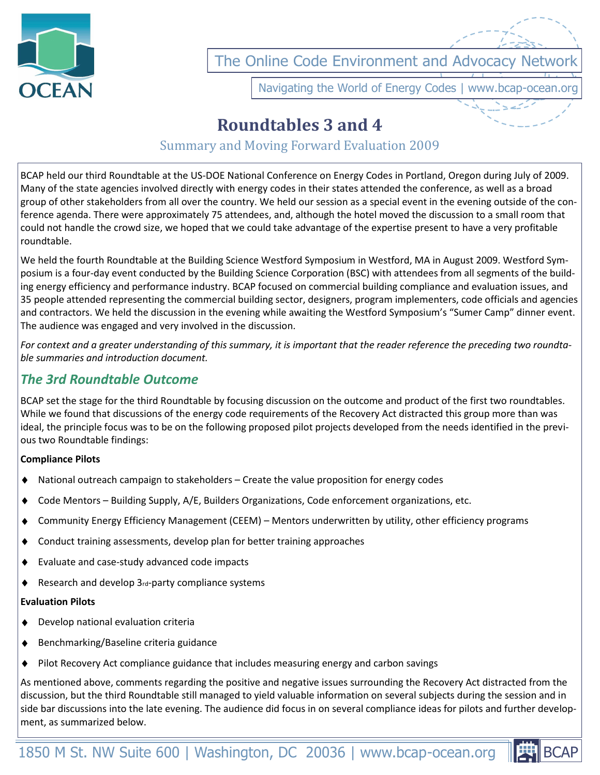

The Online Code Environment and Advocacy Networ

Navigating the World of Energy Codes | www.bcap-ocean.org

# **Roundtables 3 and 4**

# Summary and Moving Forward Evaluation 2009

BCAP held our third Roundtable at the US-DOE National Conference on Energy Codes in Portland, Oregon during July of 2009. Many of the state agencies involved directly with energy codes in their states attended the conference, as well as a broad group of other stakeholders from all over the country. We held our session as a special event in the evening outside of the conference agenda. There were approximately 75 attendees, and, although the hotel moved the discussion to a small room that could not handle the crowd size, we hoped that we could take advantage of the expertise present to have a very profitable roundtable.

We held the fourth Roundtable at the Building Science Westford Symposium in Westford, MA in August 2009. Westford Symposium is a four-day event conducted by the Building Science Corporation (BSC) with attendees from all segments of the building energy efficiency and performance industry. BCAP focused on commercial building compliance and evaluation issues, and 35 people attended representing the commercial building sector, designers, program implementers, code officials and agencies and contractors. We held the discussion in the evening while awaiting the Westford Symposium's "Sumer Camp" dinner event. The audience was engaged and very involved in the discussion.

*For context and a greater understanding of this summary, it is important that the reader reference the preceding two roundtable summaries and introduction document.* 

## *The 3rd Roundtable Outcome*

BCAP set the stage for the third Roundtable by focusing discussion on the outcome and product of the first two roundtables. While we found that discussions of the energy code requirements of the Recovery Act distracted this group more than was ideal, the principle focus was to be on the following proposed pilot projects developed from the needs identified in the previous two Roundtable findings:

#### **Compliance Pilots**

- National outreach campaign to stakeholders Create the value proposition for energy codes
- Code Mentors Building Supply, A/E, Builders Organizations, Code enforcement organizations, etc.
- Community Energy Efficiency Management (CEEM) Mentors underwritten by utility, other efficiency programs
- Conduct training assessments, develop plan for better training approaches
- Evaluate and case-study advanced code impacts
- Research and develop 3rd-party compliance systems

#### **Evaluation Pilots**

- $\bullet$ Develop national evaluation criteria
- Benchmarking/Baseline criteria guidance ٠
- $\bullet$ Pilot Recovery Act compliance guidance that includes measuring energy and carbon savings

As mentioned above, comments regarding the positive and negative issues surrounding the Recovery Act distracted from the discussion, but the third Roundtable still managed to yield valuable information on several subjects during the session and in side bar discussions into the late evening. The audience did focus in on several compliance ideas for pilots and further development, as summarized below.

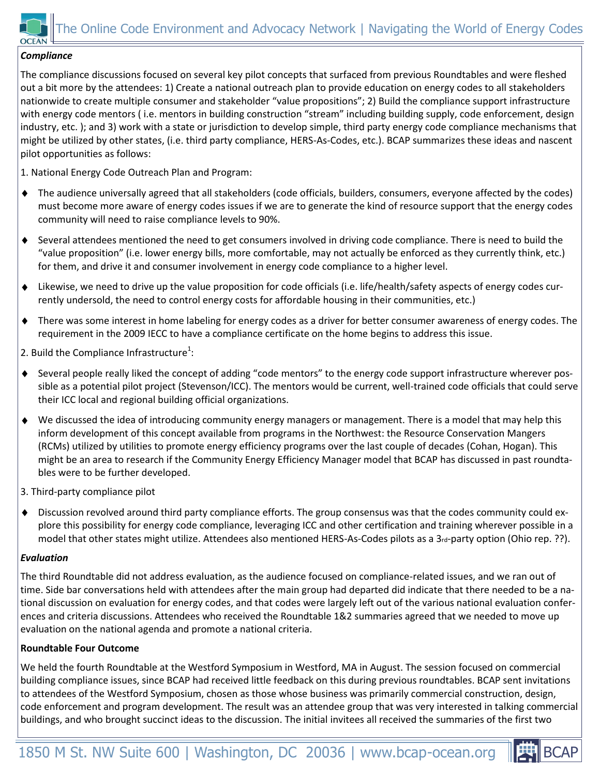

#### *Compliance*

The compliance discussions focused on several key pilot concepts that surfaced from previous Roundtables and were fleshed out a bit more by the attendees: 1) Create a national outreach plan to provide education on energy codes to all stakeholders nationwide to create multiple consumer and stakeholder "value propositions"; 2) Build the compliance support infrastructure with energy code mentors ( i.e. mentors in building construction "stream" including building supply, code enforcement, design industry, etc. ); and 3) work with a state or jurisdiction to develop simple, third party energy code compliance mechanisms that might be utilized by other states, (i.e. third party compliance, HERS-As-Codes, etc.). BCAP summarizes these ideas and nascent pilot opportunities as follows:

1. National Energy Code Outreach Plan and Program:

- $\blacklozenge$ The audience universally agreed that all stakeholders (code officials, builders, consumers, everyone affected by the codes) must become more aware of energy codes issues if we are to generate the kind of resource support that the energy codes community will need to raise compliance levels to 90%.
- $\blacklozenge$ Several attendees mentioned the need to get consumers involved in driving code compliance. There is need to build the "value proposition" (i.e. lower energy bills, more comfortable, may not actually be enforced as they currently think, etc.) for them, and drive it and consumer involvement in energy code compliance to a higher level.
- Likewise, we need to drive up the value proposition for code officials (i.e. life/health/safety aspects of energy codes cur- $\bullet$ rently undersold, the need to control energy costs for affordable housing in their communities, etc.)
- $\blacklozenge$ There was some interest in home labeling for energy codes as a driver for better consumer awareness of energy codes. The requirement in the 2009 IECC to have a compliance certificate on the home begins to address this issue.

2. Build the Compliance Infrastructure<sup>1</sup>:

- Several people really liked the concept of adding "code mentors" to the energy code support infrastructure wherever pos- $\bullet$ sible as a potential pilot project (Stevenson/ICC). The mentors would be current, well-trained code officials that could serve their ICC local and regional building official organizations.
- We discussed the idea of introducing community energy managers or management. There is a model that may help this inform development of this concept available from programs in the Northwest: the Resource Conservation Mangers (RCMs) utilized by utilities to promote energy efficiency programs over the last couple of decades (Cohan, Hogan). This might be an area to research if the Community Energy Efficiency Manager model that BCAP has discussed in past roundtables were to be further developed.
- 3. Third-party compliance pilot
- $\blacklozenge$ Discussion revolved around third party compliance efforts. The group consensus was that the codes community could explore this possibility for energy code compliance, leveraging ICC and other certification and training wherever possible in a model that other states might utilize. Attendees also mentioned HERS-As-Codes pilots as a 3<sup>rd-</sup>party option (Ohio rep. ??).

#### *Evaluation*

The third Roundtable did not address evaluation, as the audience focused on compliance-related issues, and we ran out of time. Side bar conversations held with attendees after the main group had departed did indicate that there needed to be a national discussion on evaluation for energy codes, and that codes were largely left out of the various national evaluation conferences and criteria discussions. Attendees who received the Roundtable 1&2 summaries agreed that we needed to move up evaluation on the national agenda and promote a national criteria.

#### **Roundtable Four Outcome**

We held the fourth Roundtable at the Westford Symposium in Westford, MA in August. The session focused on commercial building compliance issues, since BCAP had received little feedback on this during previous roundtables. BCAP sent invitations to attendees of the Westford Symposium, chosen as those whose business was primarily commercial construction, design, code enforcement and program development. The result was an attendee group that was very interested in talking commercial buildings, and who brought succinct ideas to the discussion. The initial invitees all received the summaries of the first two

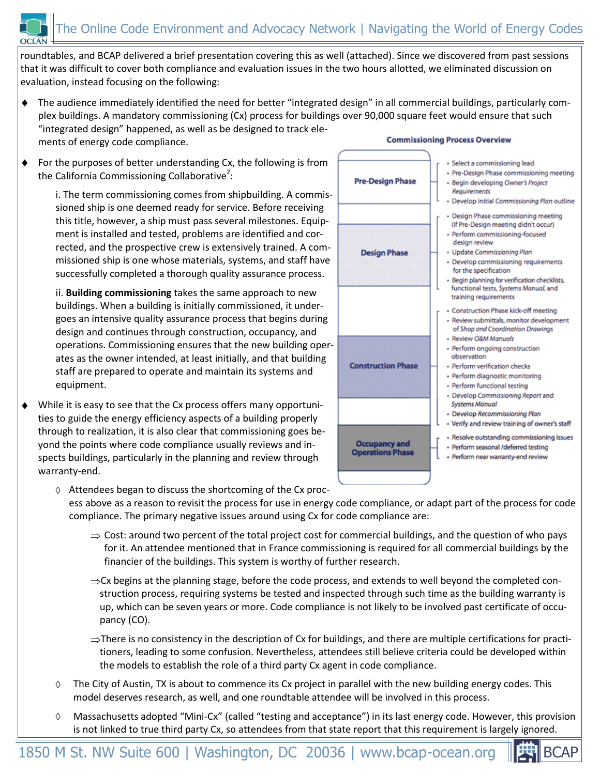roundtables, and BCAP delivered a brief presentation covering this as well (attached). Since we discovered from past sessions that it was difficult to cover both compliance and evaluation issues in the two hours allotted, we eliminated discussion on evaluation, instead focusing on the following:

- The audience immediately identified the need for better "integrated design" in all commercial buildings, particularly complex buildings. A mandatory commissioning (Cx) process for buildings over 90,000 square feet would ensure that such "integrated design" happened, as well as be designed to track ele-**Commissioning Process Overview** ments of energy code compliance.
- For the purposes of better understanding Cx, the following is from  $\blacklozenge$ the California Commissioning Collaborative<sup>2</sup>:

i. The term commissioning comes from shipbuilding. A commissioned ship is one deemed ready for service. Before receiving this title, however, a ship must pass several milestones. Equipment is installed and tested, problems are identified and corrected, and the prospective crew is extensively trained. A commissioned ship is one whose materials, systems, and staff have successfully completed a thorough quality assurance process.

ii. **Building commissioning** takes the same approach to new buildings. When a building is initially commissioned, it undergoes an intensive quality assurance process that begins during design and continues through construction, occupancy, and operations. Commissioning ensures that the new building operates as the owner intended, at least initially, and that building staff are prepared to operate and maintain its systems and equipment.

٠ While it is easy to see that the Cx process offers many opportunities to guide the energy efficiency aspects of a building properly through to realization, it is also clear that commissioning goes beyond the points where code compliance usually reviews and inspects buildings, particularly in the planning and review through warranty-end.



- · Select a commissioning lead · Pre-Design Phase commissioning meeting · Begin developing Owner's Project Requirements · Develop initial Commissioning Plan outline Design Phase commissioning meeting (If Pre-Design meeting didn't occur) · Perform commissioning-focused design review - Update Commissioning Plan · Develop commissioning requirements for the specification · Begin planning for verification checklists, functional tests, Systems Manual, and training requirements · Construction Phase kick-off meeting · Review submittals, monitor development of Shop and Coordination Drawings - Review O&M Manuals - Perform ongoing construction observation
	- · Perform verification checks
	- · Perform diagnostic monitoring
- Perform functional testing
- · Develop Commissioning Report and Systems Manual
- · Develop Recommissioning Plan
- Verify and review training of owner's staff
- · Resolve outstanding commissioning issues
- · Perform seasonal /deferred testing
	- · Perform near warranty-end review

 $\Diamond$  Attendees began to discuss the shortcoming of the Cx process above as a reason to revisit the process for use in energy code compliance, or adapt part of the process for code compliance. The primary negative issues around using Cx for code compliance are:

- $\Rightarrow$  Cost: around two percent of the total project cost for commercial buildings, and the question of who pays for it. An attendee mentioned that in France commissioning is required for all commercial buildings by the financier of the buildings. This system is worthy of further research.
- $\Rightarrow$  Cx begins at the planning stage, before the code process, and extends to well beyond the completed construction process, requiring systems be tested and inspected through such time as the building warranty is up, which can be seven years or more. Code compliance is not likely to be involved past certificate of occupancy (CO).
- $\Rightarrow$  There is no consistency in the description of Cx for buildings, and there are multiple certifications for practitioners, leading to some confusion. Nevertheless, attendees still believe criteria could be developed within the models to establish the role of a third party Cx agent in code compliance.
- ♦ The City of Austin, TX is about to commence its Cx project in parallel with the new building energy codes. This model deserves research, as well, and one roundtable attendee will be involved in this process.
- Massachusetts adopted "Mini-Cx" (called "testing and acceptance") in its last energy code. However, this provision is not linked to true third party Cx, so attendees from that state report that this requirement is largely ignored.

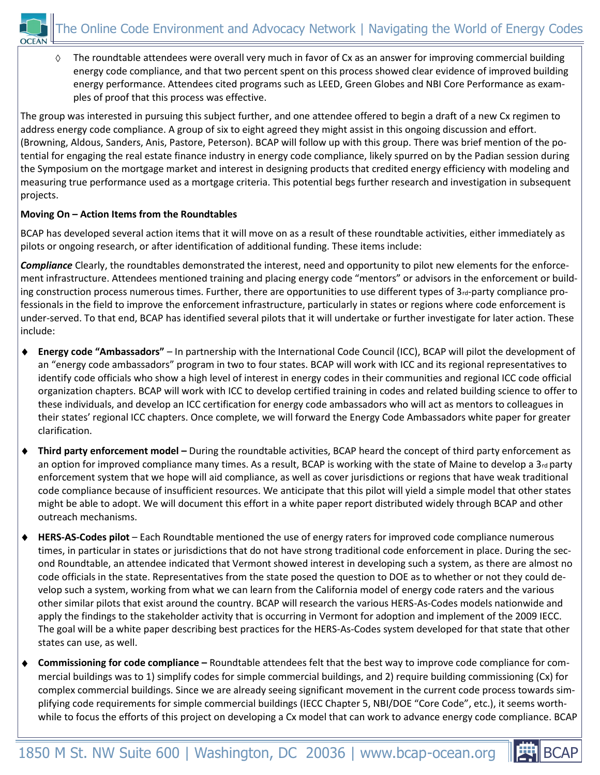

 $\Diamond$ The roundtable attendees were overall very much in favor of Cx as an answer for improving commercial building energy code compliance, and that two percent spent on this process showed clear evidence of improved building energy performance. Attendees cited programs such as LEED, Green Globes and NBI Core Performance as examples of proof that this process was effective.

The group was interested in pursuing this subject further, and one attendee offered to begin a draft of a new Cx regimen to address energy code compliance. A group of six to eight agreed they might assist in this ongoing discussion and effort. (Browning, Aldous, Sanders, Anis, Pastore, Peterson). BCAP will follow up with this group. There was brief mention of the potential for engaging the real estate finance industry in energy code compliance, likely spurred on by the Padian session during the Symposium on the mortgage market and interest in designing products that credited energy efficiency with modeling and measuring true performance used as a mortgage criteria. This potential begs further research and investigation in subsequent projects.

### **Moving On – Action Items from the Roundtables**

BCAP has developed several action items that it will move on as a result of these roundtable activities, either immediately as pilots or ongoing research, or after identification of additional funding. These items include:

*Compliance* Clearly, the roundtables demonstrated the interest, need and opportunity to pilot new elements for the enforcement infrastructure. Attendees mentioned training and placing energy code "mentors" or advisors in the enforcement or building construction process numerous times. Further, there are opportunities to use different types of  $3<sub>rd</sub>$ -party compliance professionals in the field to improve the enforcement infrastructure, particularly in states or regions where code enforcement is under-served. To that end, BCAP has identified several pilots that it will undertake or further investigate for later action. These include:

- **Energy code "Ambassadors"**  In partnership with the International Code Council (ICC), BCAP will pilot the development of  $\blacklozenge$ an "energy code ambassadors" program in two to four states. BCAP will work with ICC and its regional representatives to identify code officials who show a high level of interest in energy codes in their communities and regional ICC code official organization chapters. BCAP will work with ICC to develop certified training in codes and related building science to offer to these individuals, and develop an ICC certification for energy code ambassadors who will act as mentors to colleagues in their states' regional ICC chapters. Once complete, we will forward the Energy Code Ambassadors white paper for greater clarification.
- **Third party enforcement model –** During the roundtable activities, BCAP heard the concept of third party enforcement as  $\blacklozenge$ an option for improved compliance many times. As a result, BCAP is working with the state of Maine to develop a 3<sup>rd</sup> party enforcement system that we hope will aid compliance, as well as cover jurisdictions or regions that have weak traditional code compliance because of insufficient resources. We anticipate that this pilot will yield a simple model that other states might be able to adopt. We will document this effort in a white paper report distributed widely through BCAP and other outreach mechanisms.
- **HERS-AS-Codes pilot**  Each Roundtable mentioned the use of energy raters for improved code compliance numerous  $\blacklozenge$ times, in particular in states or jurisdictions that do not have strong traditional code enforcement in place. During the second Roundtable, an attendee indicated that Vermont showed interest in developing such a system, as there are almost no code officials in the state. Representatives from the state posed the question to DOE as to whether or not they could develop such a system, working from what we can learn from the California model of energy code raters and the various other similar pilots that exist around the country. BCAP will research the various HERS-As-Codes models nationwide and apply the findings to the stakeholder activity that is occurring in Vermont for adoption and implement of the 2009 IECC. The goal will be a white paper describing best practices for the HERS-As-Codes system developed for that state that other states can use, as well.
- **Commissioning for code compliance –** Roundtable attendees felt that the best way to improve code compliance for commercial buildings was to 1) simplify codes for simple commercial buildings, and 2) require building commissioning (Cx) for complex commercial buildings. Since we are already seeing significant movement in the current code process towards simplifying code requirements for simple commercial buildings (IECC Chapter 5, NBI/DOE "Core Code", etc.), it seems worthwhile to focus the efforts of this project on developing a Cx model that can work to advance energy code compliance. BCAP